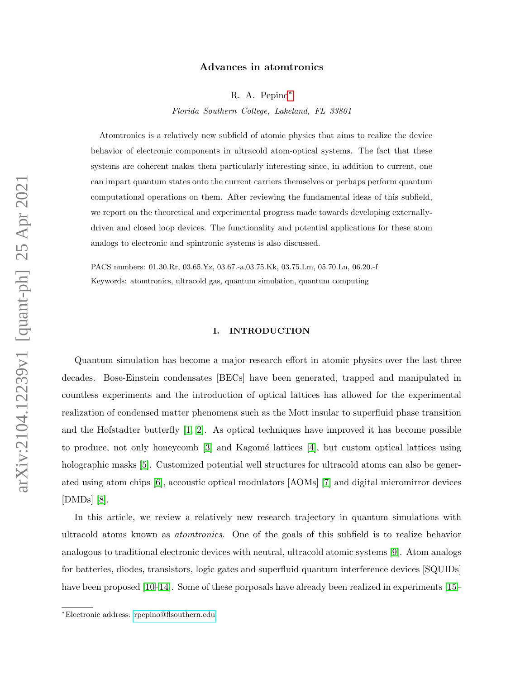## Advances in atomtronics

R. A. Pepino[∗](#page-0-0)

Florida Southern College, Lakeland, FL 33801

Atomtronics is a relatively new subfield of atomic physics that aims to realize the device behavior of electronic components in ultracold atom-optical systems. The fact that these systems are coherent makes them particularly interesting since, in addition to current, one can impart quantum states onto the current carriers themselves or perhaps perform quantum computational operations on them. After reviewing the fundamental ideas of this subfield, we report on the theoretical and experimental progress made towards developing externallydriven and closed loop devices. The functionality and potential applications for these atom analogs to electronic and spintronic systems is also discussed.

PACS numbers: 01.30.Rr, 03.65.Yz, 03.67.-a,03.75.Kk, 03.75.Lm, 05.70.Ln, 06.20.-f Keywords: atomtronics, ultracold gas, quantum simulation, quantum computing

# I. INTRODUCTION

Quantum simulation has become a major research effort in atomic physics over the last three decades. Bose-Einstein condensates [BECs] have been generated, trapped and manipulated in countless experiments and the introduction of optical lattices has allowed for the experimental realization of condensed matter phenomena such as the Mott insular to superfluid phase transition and the Hofstadter butterfly  $\left[1, 2\right]$  $\left[1, 2\right]$  $\left[1, 2\right]$ . As optical techniques have improved it has become possible to produce, not only honeycomb  $\lceil 3 \rceil$  and Kagomé lattices  $\lceil 4 \rceil$ , but custom optical lattices using holographic masks [\[5\]](#page-8-0). Customized potential well structures for ultracold atoms can also be generated using atom chips [\[6\]](#page-8-1), accoustic optical modulators [AOMs] [\[7\]](#page-8-2) and digital micromirror devices [DMDs] [\[8\]](#page-8-3).

In this article, we review a relatively new research trajectory in quantum simulations with ultracold atoms known as atomtronics. One of the goals of this subfield is to realize behavior analogous to traditional electronic devices with neutral, ultracold atomic systems [\[9\]](#page-8-4). Atom analogs for batteries, diodes, transistors, logic gates and superfluid quantum interference devices [SQUIDs] have been proposed [\[10](#page-8-5)[–14\]](#page-8-6). Some of these porposals have already been realized in experiments [\[15–](#page-8-7)

<span id="page-0-0"></span><sup>∗</sup>Electronic address: [rpepino@flsouthern.edu](mailto:rpepino@flsouthern.edu)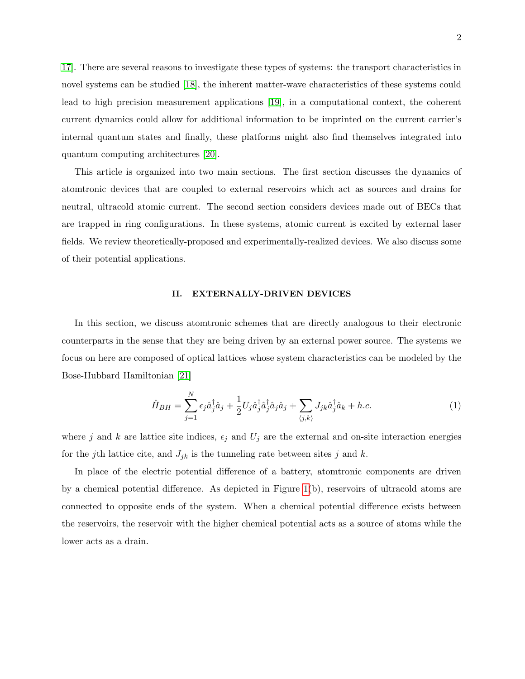[17\]](#page-8-8). There are several reasons to investigate these types of systems: the transport characteristics in novel systems can be studied [\[18\]](#page-8-9), the inherent matter-wave characteristics of these systems could lead to high precision measurement applications [\[19\]](#page-8-10), in a computational context, the coherent current dynamics could allow for additional information to be imprinted on the current carrier's internal quantum states and finally, these platforms might also find themselves integrated into quantum computing architectures [\[20\]](#page-8-11).

This article is organized into two main sections. The first section discusses the dynamics of atomtronic devices that are coupled to external reservoirs which act as sources and drains for neutral, ultracold atomic current. The second section considers devices made out of BECs that are trapped in ring configurations. In these systems, atomic current is excited by external laser fields. We review theoretically-proposed and experimentally-realized devices. We also discuss some of their potential applications.

#### II. EXTERNALLY-DRIVEN DEVICES

In this section, we discuss atomtronic schemes that are directly analogous to their electronic counterparts in the sense that they are being driven by an external power source. The systems we focus on here are composed of optical lattices whose system characteristics can be modeled by the Bose-Hubbard Hamiltonian [\[21\]](#page-8-12)

$$
\hat{H}_{BH} = \sum_{j=1}^{N} \epsilon_j \hat{a}_j^{\dagger} \hat{a}_j + \frac{1}{2} U_j \hat{a}_j^{\dagger} \hat{a}_j^{\dagger} \hat{a}_j \hat{a}_j + \sum_{\langle j,k \rangle} J_{jk} \hat{a}_j^{\dagger} \hat{a}_k + h.c.
$$
\n(1)

where j and k are lattice site indices,  $\epsilon_j$  and  $U_j$  are the external and on-site interaction energies for the jth lattice cite, and  $J_{jk}$  is the tunneling rate between sites j and k.

In place of the electric potential difference of a battery, atomtronic components are driven by a chemical potential difference. As depicted in Figure [1\(](#page-2-0)b), reservoirs of ultracold atoms are connected to opposite ends of the system. When a chemical potential difference exists between the reservoirs, the reservoir with the higher chemical potential acts as a source of atoms while the lower acts as a drain.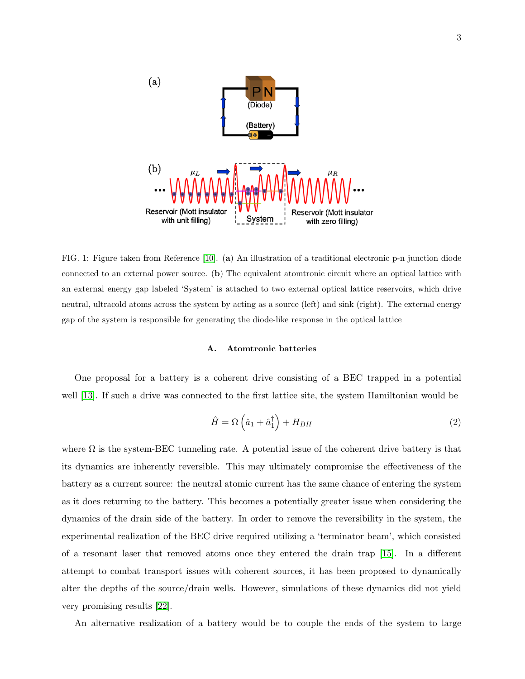

PN (Diode)

(Battery)

 $(a)$ 

<span id="page-2-0"></span>FIG. 1: Figure taken from Reference [\[10\]](#page-8-5). (a) An illustration of a traditional electronic p-n junction diode connected to an external power source. (b) The equivalent atomtronic circuit where an optical lattice with an external energy gap labeled 'System' is attached to two external optical lattice reservoirs, which drive neutral, ultracold atoms across the system by acting as a source (left) and sink (right). The external energy gap of the system is responsible for generating the diode-like response in the optical lattice

# A. Atomtronic batteries

One proposal for a battery is a coherent drive consisting of a BEC trapped in a potential well [\[13\]](#page-8-13). If such a drive was connected to the first lattice site, the system Hamiltonian would be

$$
\hat{H} = \Omega \left(\hat{a}_1 + \hat{a}_1^\dagger\right) + H_{BH} \tag{2}
$$

where  $\Omega$  is the system-BEC tunneling rate. A potential issue of the coherent drive battery is that its dynamics are inherently reversible. This may ultimately compromise the effectiveness of the battery as a current source: the neutral atomic current has the same chance of entering the system as it does returning to the battery. This becomes a potentially greater issue when considering the dynamics of the drain side of the battery. In order to remove the reversibility in the system, the experimental realization of the BEC drive required utilizing a 'terminator beam', which consisted of a resonant laser that removed atoms once they entered the drain trap [\[15\]](#page-8-7). In a different attempt to combat transport issues with coherent sources, it has been proposed to dynamically alter the depths of the source/drain wells. However, simulations of these dynamics did not yield very promising results [\[22\]](#page-9-0).

An alternative realization of a battery would be to couple the ends of the system to large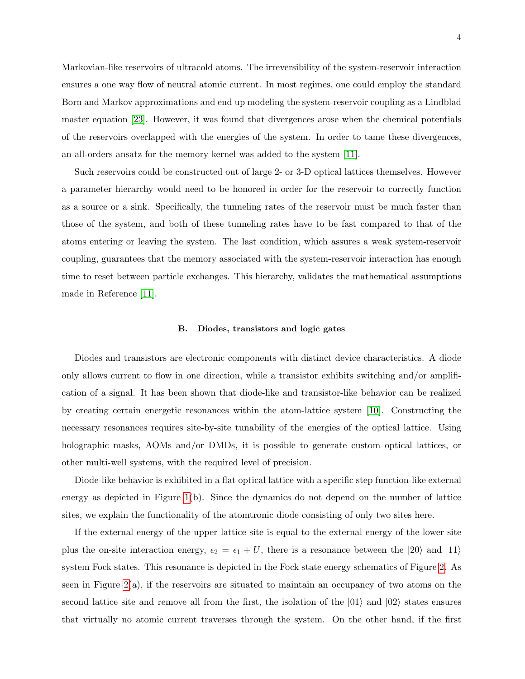Markovian-like reservoirs of ultracold atoms. The irreversibility of the system-reservoir interaction ensures a one way flow of neutral atomic current. In most regimes, one could employ the standard Born and Markov approximations and end up modeling the system-reservoir coupling as a Lindblad master equation [\[23\]](#page-9-1). However, it was found that divergences arose when the chemical potentials of the reservoirs overlapped with the energies of the system. In order to tame these divergences, an all-orders ansatz for the memory kernel was added to the system [\[11\]](#page-8-14).

Such reservoirs could be constructed out of large 2- or 3-D optical lattices themselves. However a parameter hierarchy would need to be honored in order for the reservoir to correctly function as a source or a sink. Specifically, the tunneling rates of the reservoir must be much faster than those of the system, and both of these tunneling rates have to be fast compared to that of the atoms entering or leaving the system. The last condition, which assures a weak system-reservoir coupling, guarantees that the memory associated with the system-reservoir interaction has enough time to reset between particle exchanges. This hierarchy, validates the mathematical assumptions made in Reference [\[11\]](#page-8-14).

#### B. Diodes, transistors and logic gates

Diodes and transistors are electronic components with distinct device characteristics. A diode only allows current to flow in one direction, while a transistor exhibits switching and/or amplification of a signal. It has been shown that diode-like and transistor-like behavior can be realized by creating certain energetic resonances within the atom-lattice system [\[10\]](#page-8-5). Constructing the necessary resonances requires site-by-site tunability of the energies of the optical lattice. Using holographic masks, AOMs and/or DMDs, it is possible to generate custom optical lattices, or other multi-well systems, with the required level of precision.

Diode-like behavior is exhibited in a flat optical lattice with a specific step function-like external energy as depicted in Figure [1\(](#page-2-0)b). Since the dynamics do not depend on the number of lattice sites, we explain the functionality of the atomtronic diode consisting of only two sites here.

If the external energy of the upper lattice site is equal to the external energy of the lower site plus the on-site interaction energy,  $\epsilon_2 = \epsilon_1 + U$ , there is a resonance between the  $|20\rangle$  and  $|11\rangle$ system Fock states. This resonance is depicted in the Fock state energy schematics of Figure [2.](#page-4-0) As seen in Figure [2\(](#page-4-0)a), if the reservoirs are situated to maintain an occupancy of two atoms on the second lattice site and remove all from the first, the isolation of the  $|01\rangle$  and  $|02\rangle$  states ensures that virtually no atomic current traverses through the system. On the other hand, if the first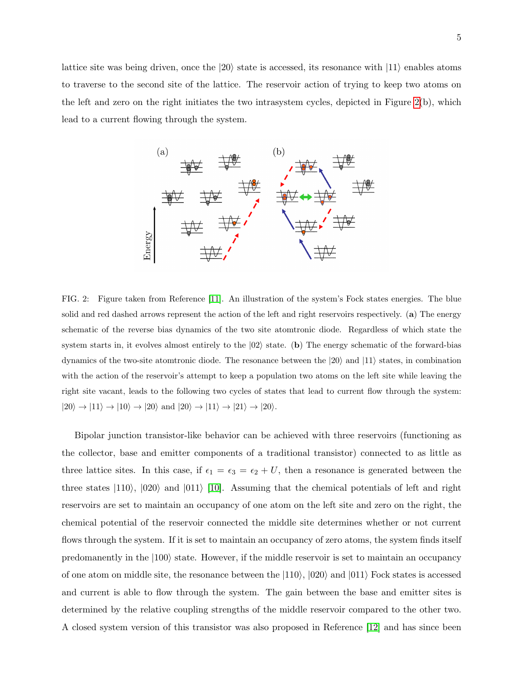lattice site was being driven, once the  $|20\rangle$  state is accessed, its resonance with  $|11\rangle$  enables atoms to traverse to the second site of the lattice. The reservoir action of trying to keep two atoms on the left and zero on the right initiates the two intrasystem cycles, depicted in Figure  $2(b)$ , which lead to a current flowing through the system.



<span id="page-4-0"></span>FIG. 2: Figure taken from Reference [\[11\]](#page-8-14). An illustration of the system's Fock states energies. The blue solid and red dashed arrows represent the action of the left and right reservoirs respectively. (a) The energy schematic of the reverse bias dynamics of the two site atomtronic diode. Regardless of which state the system starts in, it evolves almost entirely to the  $|02\rangle$  state. (b) The energy schematic of the forward-bias dynamics of the two-site atomtronic diode. The resonance between the  $|20\rangle$  and  $|11\rangle$  states, in combination with the action of the reservoir's attempt to keep a population two atoms on the left site while leaving the right site vacant, leads to the following two cycles of states that lead to current flow through the system:  $|20\rangle\rightarrow|11\rangle\rightarrow|10\rangle\rightarrow|20\rangle$  and  $|20\rangle\rightarrow|11\rangle\rightarrow|21\rangle\rightarrow|20\rangle.$ 

Bipolar junction transistor-like behavior can be achieved with three reservoirs (functioning as the collector, base and emitter components of a traditional transistor) connected to as little as three lattice sites. In this case, if  $\epsilon_1 = \epsilon_3 = \epsilon_2 + U$ , then a resonance is generated between the three states  $|110\rangle$ ,  $|020\rangle$  and  $|011\rangle$  [\[10\]](#page-8-5). Assuming that the chemical potentials of left and right reservoirs are set to maintain an occupancy of one atom on the left site and zero on the right, the chemical potential of the reservoir connected the middle site determines whether or not current flows through the system. If it is set to maintain an occupancy of zero atoms, the system finds itself predomanently in the  $|100\rangle$  state. However, if the middle reservoir is set to maintain an occupancy of one atom on middle site, the resonance between the  $|110\rangle$ ,  $|020\rangle$  and  $|011\rangle$  Fock states is accessed and current is able to flow through the system. The gain between the base and emitter sites is determined by the relative coupling strengths of the middle reservoir compared to the other two. A closed system version of this transistor was also proposed in Reference [\[12\]](#page-8-15) and has since been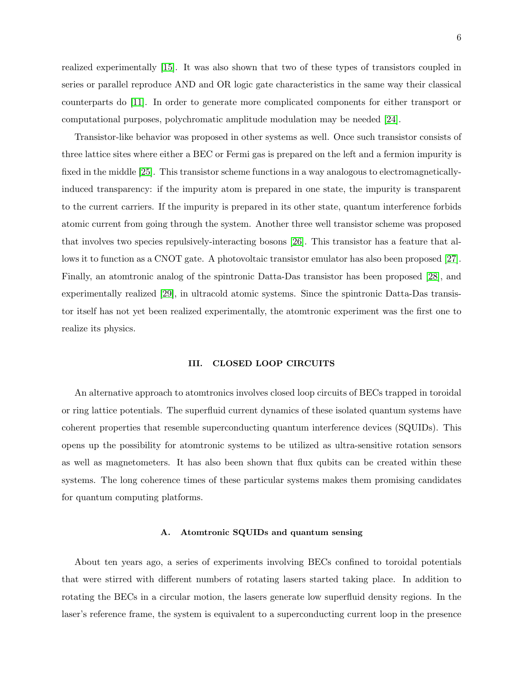realized experimentally [\[15\]](#page-8-7). It was also shown that two of these types of transistors coupled in series or parallel reproduce AND and OR logic gate characteristics in the same way their classical counterparts do [\[11\]](#page-8-14). In order to generate more complicated components for either transport or computational purposes, polychromatic amplitude modulation may be needed [\[24\]](#page-9-2).

Transistor-like behavior was proposed in other systems as well. Once such transistor consists of three lattice sites where either a BEC or Fermi gas is prepared on the left and a fermion impurity is fixed in the middle [\[25\]](#page-9-3). This transistor scheme functions in a way analogous to electromagneticallyinduced transparency: if the impurity atom is prepared in one state, the impurity is transparent to the current carriers. If the impurity is prepared in its other state, quantum interference forbids atomic current from going through the system. Another three well transistor scheme was proposed that involves two species repulsively-interacting bosons [\[26\]](#page-9-4). This transistor has a feature that allows it to function as a CNOT gate. A photovoltaic transistor emulator has also been proposed [\[27\]](#page-9-5). Finally, an atomtronic analog of the spintronic Datta-Das transistor has been proposed [\[28\]](#page-9-6), and experimentally realized [\[29\]](#page-9-7), in ultracold atomic systems. Since the spintronic Datta-Das transistor itself has not yet been realized experimentally, the atomtronic experiment was the first one to realize its physics.

### III. CLOSED LOOP CIRCUITS

An alternative approach to atomtronics involves closed loop circuits of BECs trapped in toroidal or ring lattice potentials. The superfluid current dynamics of these isolated quantum systems have coherent properties that resemble superconducting quantum interference devices (SQUIDs). This opens up the possibility for atomtronic systems to be utilized as ultra-sensitive rotation sensors as well as magnetometers. It has also been shown that flux qubits can be created within these systems. The long coherence times of these particular systems makes them promising candidates for quantum computing platforms.

## A. Atomtronic SQUIDs and quantum sensing

About ten years ago, a series of experiments involving BECs confined to toroidal potentials that were stirred with different numbers of rotating lasers started taking place. In addition to rotating the BECs in a circular motion, the lasers generate low superfluid density regions. In the laser's reference frame, the system is equivalent to a superconducting current loop in the presence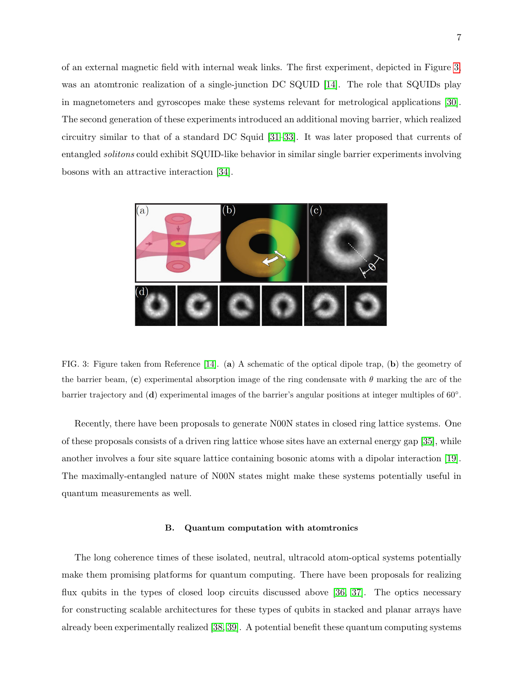of an external magnetic field with internal weak links. The first experiment, depicted in Figure [3,](#page-6-0) was an atomtronic realization of a single-junction DC SQUID [\[14\]](#page-8-6). The role that SQUIDs play in magnetometers and gyroscopes make these systems relevant for metrological applications [\[30\]](#page-9-8). The second generation of these experiments introduced an additional moving barrier, which realized circuitry similar to that of a standard DC Squid [\[31–](#page-9-9)[33\]](#page-9-10). It was later proposed that currents of entangled solitons could exhibit SQUID-like behavior in similar single barrier experiments involving bosons with an attractive interaction [\[34\]](#page-9-11).



<span id="page-6-0"></span>FIG. 3: Figure taken from Reference [\[14\]](#page-8-6). (a) A schematic of the optical dipole trap, (b) the geometry of the barrier beam, (c) experimental absorption image of the ring condensate with  $\theta$  marking the arc of the barrier trajectory and (d) experimental images of the barrier's angular positions at integer multiples of 60°.

Recently, there have been proposals to generate N00N states in closed ring lattice systems. One of these proposals consists of a driven ring lattice whose sites have an external energy gap [\[35\]](#page-9-12), while another involves a four site square lattice containing bosonic atoms with a dipolar interaction [\[19\]](#page-8-10). The maximally-entangled nature of N00N states might make these systems potentially useful in quantum measurements as well.

## B. Quantum computation with atomtronics

The long coherence times of these isolated, neutral, ultracold atom-optical systems potentially make them promising platforms for quantum computing. There have been proposals for realizing flux qubits in the types of closed loop circuits discussed above [\[36,](#page-9-13) [37\]](#page-9-14). The optics necessary for constructing scalable architectures for these types of qubits in stacked and planar arrays have already been experimentally realized [\[38,](#page-9-15) [39\]](#page-9-16). A potential benefit these quantum computing systems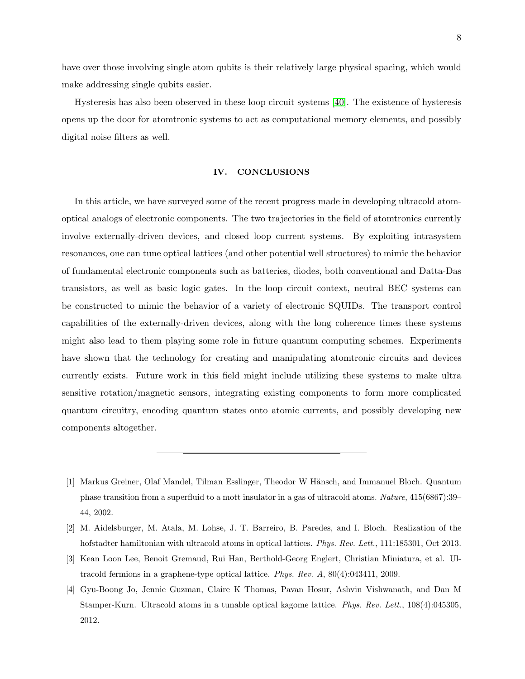have over those involving single atom qubits is their relatively large physical spacing, which would make addressing single qubits easier.

Hysteresis has also been observed in these loop circuit systems [\[40\]](#page-10-0). The existence of hysteresis opens up the door for atomtronic systems to act as computational memory elements, and possibly digital noise filters as well.

### IV. CONCLUSIONS

In this article, we have surveyed some of the recent progress made in developing ultracold atomoptical analogs of electronic components. The two trajectories in the field of atomtronics currently involve externally-driven devices, and closed loop current systems. By exploiting intrasystem resonances, one can tune optical lattices (and other potential well structures) to mimic the behavior of fundamental electronic components such as batteries, diodes, both conventional and Datta-Das transistors, as well as basic logic gates. In the loop circuit context, neutral BEC systems can be constructed to mimic the behavior of a variety of electronic SQUIDs. The transport control capabilities of the externally-driven devices, along with the long coherence times these systems might also lead to them playing some role in future quantum computing schemes. Experiments have shown that the technology for creating and manipulating atomtronic circuits and devices currently exists. Future work in this field might include utilizing these systems to make ultra sensitive rotation/magnetic sensors, integrating existing components to form more complicated quantum circuitry, encoding quantum states onto atomic currents, and possibly developing new components altogether.

<span id="page-7-0"></span><sup>[1]</sup> Markus Greiner, Olaf Mandel, Tilman Esslinger, Theodor W Hänsch, and Immanuel Bloch. Quantum phase transition from a superfluid to a mott insulator in a gas of ultracold atoms. Nature, 415(6867):39– 44, 2002.

<span id="page-7-1"></span><sup>[2]</sup> M. Aidelsburger, M. Atala, M. Lohse, J. T. Barreiro, B. Paredes, and I. Bloch. Realization of the hofstadter hamiltonian with ultracold atoms in optical lattices. Phys. Rev. Lett., 111:185301, Oct 2013.

<span id="page-7-2"></span><sup>[3]</sup> Kean Loon Lee, Benoit Gremaud, Rui Han, Berthold-Georg Englert, Christian Miniatura, et al. Ultracold fermions in a graphene-type optical lattice. Phys. Rev. A, 80(4):043411, 2009.

<span id="page-7-3"></span><sup>[4]</sup> Gyu-Boong Jo, Jennie Guzman, Claire K Thomas, Pavan Hosur, Ashvin Vishwanath, and Dan M Stamper-Kurn. Ultracold atoms in a tunable optical kagome lattice. Phys. Rev. Lett., 108(4):045305, 2012.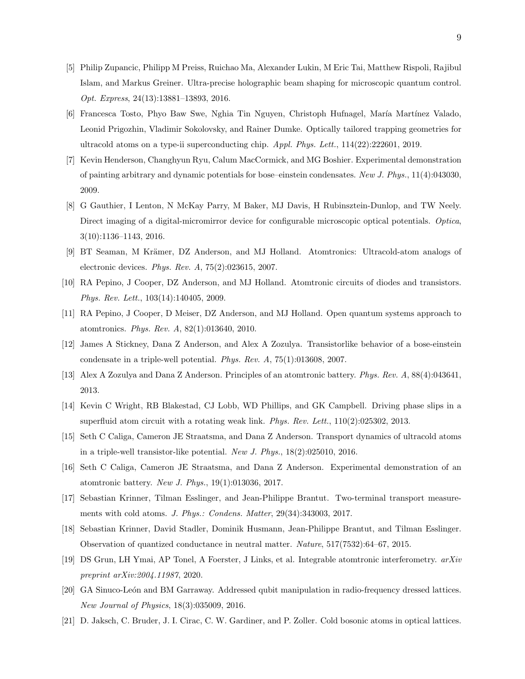- <span id="page-8-0"></span>[5] Philip Zupancic, Philipp M Preiss, Ruichao Ma, Alexander Lukin, M Eric Tai, Matthew Rispoli, Rajibul Islam, and Markus Greiner. Ultra-precise holographic beam shaping for microscopic quantum control. Opt. Express, 24(13):13881–13893, 2016.
- <span id="page-8-1"></span>[6] Francesca Tosto, Phyo Baw Swe, Nghia Tin Nguyen, Christoph Hufnagel, María Martínez Valado, Leonid Prigozhin, Vladimir Sokolovsky, and Rainer Dumke. Optically tailored trapping geometries for ultracold atoms on a type-ii superconducting chip. Appl. Phys. Lett., 114(22):222601, 2019.
- <span id="page-8-2"></span>[7] Kevin Henderson, Changhyun Ryu, Calum MacCormick, and MG Boshier. Experimental demonstration of painting arbitrary and dynamic potentials for bose–einstein condensates. New J. Phys., 11(4):043030, 2009.
- <span id="page-8-3"></span>[8] G Gauthier, I Lenton, N McKay Parry, M Baker, MJ Davis, H Rubinsztein-Dunlop, and TW Neely. Direct imaging of a digital-micromirror device for configurable microscopic optical potentials. Optica, 3(10):1136–1143, 2016.
- <span id="page-8-4"></span>[9] BT Seaman, M Krämer, DZ Anderson, and MJ Holland. Atomtronics: Ultracold-atom analogs of electronic devices. Phys. Rev. A, 75(2):023615, 2007.
- <span id="page-8-5"></span>[10] RA Pepino, J Cooper, DZ Anderson, and MJ Holland. Atomtronic circuits of diodes and transistors. Phys. Rev. Lett., 103(14):140405, 2009.
- <span id="page-8-14"></span>[11] RA Pepino, J Cooper, D Meiser, DZ Anderson, and MJ Holland. Open quantum systems approach to atomtronics. Phys. Rev. A, 82(1):013640, 2010.
- <span id="page-8-15"></span>[12] James A Stickney, Dana Z Anderson, and Alex A Zozulya. Transistorlike behavior of a bose-einstein condensate in a triple-well potential. Phys. Rev. A, 75(1):013608, 2007.
- <span id="page-8-13"></span>[13] Alex A Zozulya and Dana Z Anderson. Principles of an atomtronic battery. Phys. Rev. A, 88(4):043641, 2013.
- <span id="page-8-6"></span>[14] Kevin C Wright, RB Blakestad, CJ Lobb, WD Phillips, and GK Campbell. Driving phase slips in a superfluid atom circuit with a rotating weak link. *Phys. Rev. Lett.*, 110(2):025302, 2013.
- <span id="page-8-7"></span>[15] Seth C Caliga, Cameron JE Straatsma, and Dana Z Anderson. Transport dynamics of ultracold atoms in a triple-well transistor-like potential. New J. Phys., 18(2):025010, 2016.
- [16] Seth C Caliga, Cameron JE Straatsma, and Dana Z Anderson. Experimental demonstration of an atomtronic battery. New J. Phys., 19(1):013036, 2017.
- <span id="page-8-8"></span>[17] Sebastian Krinner, Tilman Esslinger, and Jean-Philippe Brantut. Two-terminal transport measurements with cold atoms. J. Phys.: Condens. Matter, 29(34):343003, 2017.
- <span id="page-8-9"></span>[18] Sebastian Krinner, David Stadler, Dominik Husmann, Jean-Philippe Brantut, and Tilman Esslinger. Observation of quantized conductance in neutral matter. Nature, 517(7532):64–67, 2015.
- <span id="page-8-10"></span>[19] DS Grun, LH Ymai, AP Tonel, A Foerster, J Links, et al. Integrable atomtronic interferometry. arXiv preprint arXiv:2004.11987, 2020.
- <span id="page-8-11"></span>[20] GA Sinuco-León and BM Garraway. Addressed qubit manipulation in radio-frequency dressed lattices. New Journal of Physics, 18(3):035009, 2016.
- <span id="page-8-12"></span>[21] D. Jaksch, C. Bruder, J. I. Cirac, C. W. Gardiner, and P. Zoller. Cold bosonic atoms in optical lattices.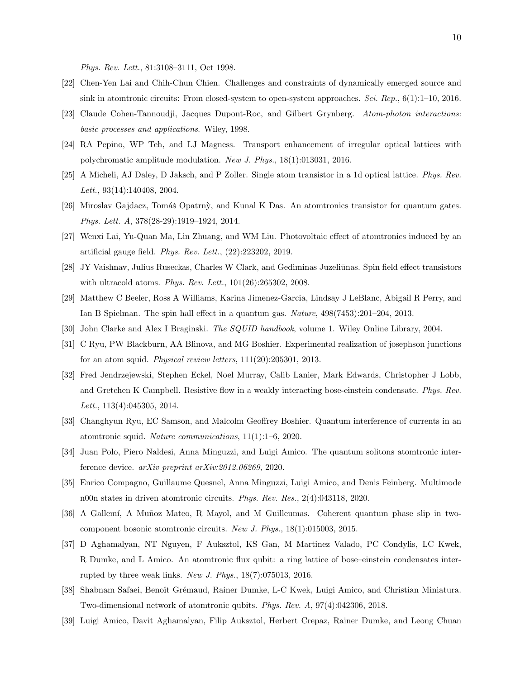Phys. Rev. Lett., 81:3108–3111, Oct 1998.

- <span id="page-9-0"></span>[22] Chen-Yen Lai and Chih-Chun Chien. Challenges and constraints of dynamically emerged source and sink in atomtronic circuits: From closed-system to open-system approaches. Sci. Rep.,  $6(1):1-10$ , 2016.
- <span id="page-9-1"></span>[23] Claude Cohen-Tannoudji, Jacques Dupont-Roc, and Gilbert Grynberg. Atom-photon interactions: basic processes and applications. Wiley, 1998.
- <span id="page-9-2"></span>[24] RA Pepino, WP Teh, and LJ Magness. Transport enhancement of irregular optical lattices with polychromatic amplitude modulation. New J. Phys., 18(1):013031, 2016.
- <span id="page-9-3"></span>[25] A Micheli, AJ Daley, D Jaksch, and P Zoller. Single atom transistor in a 1d optical lattice. Phys. Rev. Lett., 93(14):140408, 2004.
- <span id="page-9-4"></span>[26] Miroslav Gajdacz, Tomáš Opatrnỳ, and Kunal K Das. An atomtronics transistor for quantum gates. Phys. Lett. A, 378(28-29):1919–1924, 2014.
- <span id="page-9-5"></span>[27] Wenxi Lai, Yu-Quan Ma, Lin Zhuang, and WM Liu. Photovoltaic effect of atomtronics induced by an artificial gauge field. Phys. Rev. Lett., (22):223202, 2019.
- <span id="page-9-6"></span>[28] JY Vaishnav, Julius Ruseckas, Charles W Clark, and Gediminas Juzeliūnas. Spin field effect transistors with ultracold atoms. Phys. Rev. Lett., 101(26):265302, 2008.
- <span id="page-9-7"></span>[29] Matthew C Beeler, Ross A Williams, Karina Jimenez-Garcia, Lindsay J LeBlanc, Abigail R Perry, and Ian B Spielman. The spin hall effect in a quantum gas. Nature, 498(7453):201–204, 2013.
- <span id="page-9-9"></span><span id="page-9-8"></span>[30] John Clarke and Alex I Braginski. The SQUID handbook, volume 1. Wiley Online Library, 2004.
- [31] C Ryu, PW Blackburn, AA Blinova, and MG Boshier. Experimental realization of josephson junctions for an atom squid. Physical review letters, 111(20):205301, 2013.
- [32] Fred Jendrzejewski, Stephen Eckel, Noel Murray, Calib Lanier, Mark Edwards, Christopher J Lobb, and Gretchen K Campbell. Resistive flow in a weakly interacting bose-einstein condensate. Phys. Rev. Lett., 113(4):045305, 2014.
- <span id="page-9-10"></span>[33] Changhyun Ryu, EC Samson, and Malcolm Geoffrey Boshier. Quantum interference of currents in an atomtronic squid. Nature communications, 11(1):1–6, 2020.
- <span id="page-9-11"></span>[34] Juan Polo, Piero Naldesi, Anna Minguzzi, and Luigi Amico. The quantum solitons atomtronic interference device. arXiv preprint arXiv:2012.06269, 2020.
- <span id="page-9-12"></span>[35] Enrico Compagno, Guillaume Quesnel, Anna Minguzzi, Luigi Amico, and Denis Feinberg. Multimode n00n states in driven atomtronic circuits. Phys. Rev. Res., 2(4):043118, 2020.
- <span id="page-9-13"></span>[36] A Gallemí, A Muñoz Mateo, R Mayol, and M Guilleumas. Coherent quantum phase slip in twocomponent bosonic atomtronic circuits. New J. Phys., 18(1):015003, 2015.
- <span id="page-9-14"></span>[37] D Aghamalyan, NT Nguyen, F Auksztol, KS Gan, M Martinez Valado, PC Condylis, LC Kwek, R Dumke, and L Amico. An atomtronic flux qubit: a ring lattice of bose–einstein condensates interrupted by three weak links. New J. Phys., 18(7):075013, 2016.
- <span id="page-9-15"></span>[38] Shabnam Safaei, Benoît Grémaud, Rainer Dumke, L-C Kwek, Luigi Amico, and Christian Miniatura. Two-dimensional network of atomtronic qubits. Phys. Rev. A, 97(4):042306, 2018.
- <span id="page-9-16"></span>[39] Luigi Amico, Davit Aghamalyan, Filip Auksztol, Herbert Crepaz, Rainer Dumke, and Leong Chuan